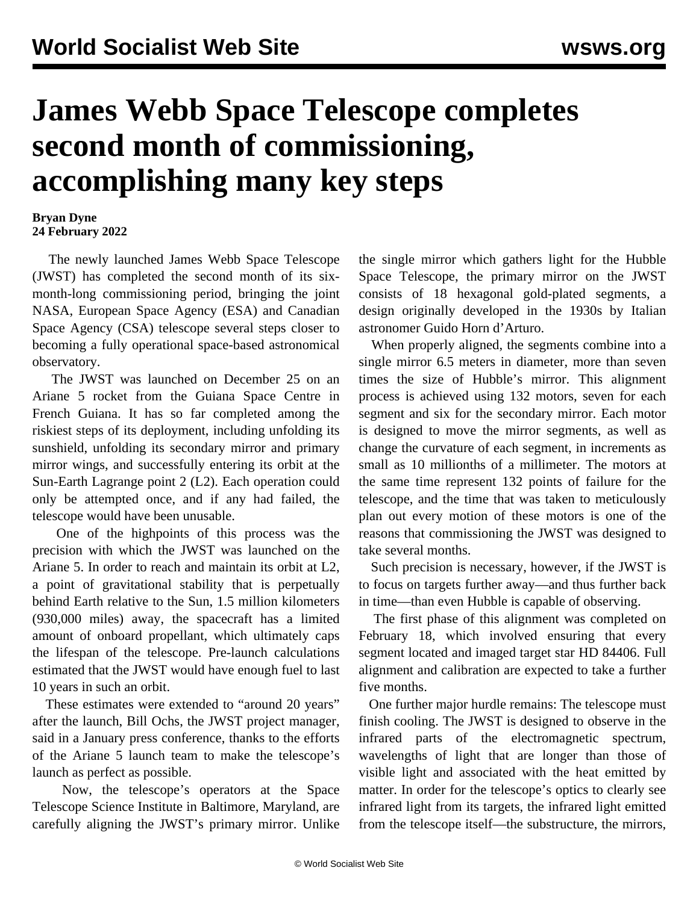## **James Webb Space Telescope completes second month of commissioning, accomplishing many key steps**

## **Bryan Dyne 24 February 2022**

 The newly launched James Webb Space Telescope (JWST) has completed the second month of its sixmonth-long commissioning period, bringing the joint NASA, European Space Agency (ESA) and Canadian Space Agency (CSA) telescope several steps closer to becoming a fully operational space-based astronomical observatory.

 The JWST was launched on December 25 on an Ariane 5 rocket from the Guiana Space Centre in French Guiana. It has so far completed among the riskiest steps of its deployment, including unfolding its sunshield, unfolding its secondary mirror and primary mirror wings, and successfully entering its orbit at the Sun-Earth Lagrange point 2 (L2). Each operation could only be attempted once, and if any had failed, the telescope would have been unusable.

 One of the highpoints of this process was the precision with which the JWST was launched on the Ariane 5. In order to reach and maintain its orbit at L2, a point of gravitational stability that is perpetually behind Earth relative to the Sun, 1.5 million kilometers (930,000 miles) away, the spacecraft has a limited amount of onboard propellant, which ultimately caps the lifespan of the telescope. Pre-launch calculations estimated that the JWST would have enough fuel to last 10 years in such an orbit.

 These estimates were extended to "around 20 years" after the launch, Bill Ochs, the JWST project manager, said in a January press conference, thanks to the efforts of the Ariane 5 launch team to make the telescope's launch as perfect as possible.

 Now, the telescope's operators at the Space Telescope Science Institute in Baltimore, Maryland, are carefully aligning the JWST's primary mirror. Unlike the single mirror which gathers light for the Hubble Space Telescope, the primary mirror on the JWST consists of 18 hexagonal gold-plated segments, a design originally developed in the 1930s by Italian astronomer Guido Horn d'Arturo.

 When properly aligned, the segments combine into a single mirror 6.5 meters in diameter, more than seven times the size of Hubble's mirror. This alignment process is achieved using 132 motors, seven for each segment and six for the secondary mirror. Each motor is designed to move the mirror segments, as well as change the curvature of each segment, in increments as small as 10 millionths of a millimeter. The motors at the same time represent 132 points of failure for the telescope, and the time that was taken to meticulously plan out every motion of these motors is one of the reasons that commissioning the JWST was designed to take several months.

 Such precision is necessary, however, if the JWST is to focus on targets further away—and thus further back in time—than even Hubble is capable of observing.

 The first phase of this alignment was completed on February 18, which involved ensuring that every segment located and imaged target star HD 84406. Full alignment and calibration are expected to take a further five months.

 One further major hurdle remains: The telescope must finish cooling. The JWST is designed to observe in the infrared parts of the electromagnetic spectrum, wavelengths of light that are longer than those of visible light and associated with the heat emitted by matter. In order for the telescope's optics to clearly see infrared light from its targets, the infrared light emitted from the telescope itself—the substructure, the mirrors,